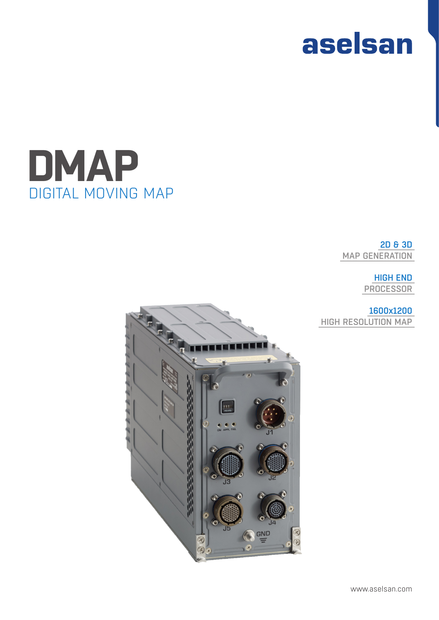



2D & 3D MAP GENERATION

### HIGH END PROCESSOR

## 1600x1200

HIGH RESOLUTION MAP